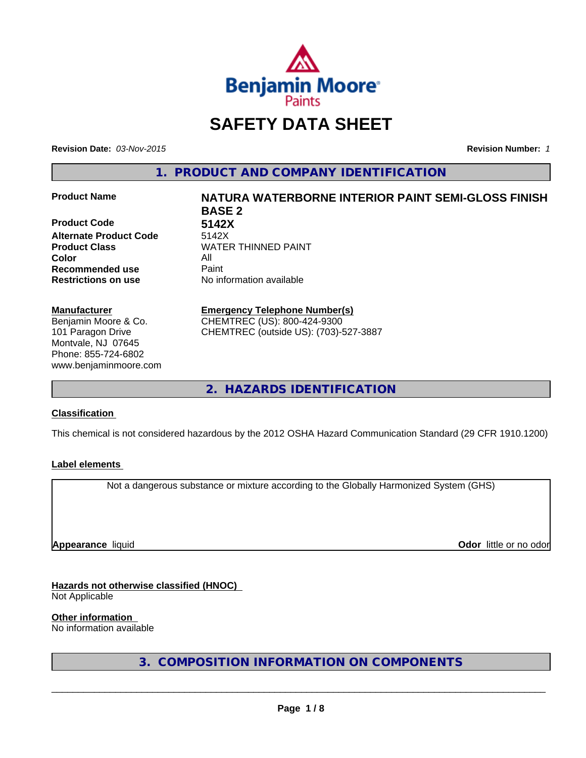

# **SAFETY DATA SHEET**

**Revision Date:** *03-Nov-2015* **Revision Number:** *1*

**1. PRODUCT AND COMPANY IDENTIFICATION**

**Product Code 5142X** Alternate Product Code 5142X **Color** All **Recommended use Paint** 

# **Manufacturer**

Benjamin Moore & Co. 101 Paragon Drive Montvale, NJ 07645 Phone: 855-724-6802 www.benjaminmoore.com

# **Product Name NATURA WATERBORNE INTERIOR PAINT SEMI-GLOSS FINISH BASE 2 Product Class WATER THINNED PAINT**

**Restrictions on use** No information available

#### **Emergency Telephone Number(s)** CHEMTREC (US): 800-424-9300

CHEMTREC (outside US): (703)-527-3887

**2. HAZARDS IDENTIFICATION**

# **Classification**

This chemical is not considered hazardous by the 2012 OSHA Hazard Communication Standard (29 CFR 1910.1200)

# **Label elements**

Not a dangerous substance or mixture according to the Globally Harmonized System (GHS)

**Appearance** liquid

**Odor** little or no odor

# **Hazards not otherwise classified (HNOC)**

Not Applicable

### **Other information**

No information available

**3. COMPOSITION INFORMATION ON COMPONENTS**

 $\overline{\phantom{a}}$  ,  $\overline{\phantom{a}}$  ,  $\overline{\phantom{a}}$  ,  $\overline{\phantom{a}}$  ,  $\overline{\phantom{a}}$  ,  $\overline{\phantom{a}}$  ,  $\overline{\phantom{a}}$  ,  $\overline{\phantom{a}}$  ,  $\overline{\phantom{a}}$  ,  $\overline{\phantom{a}}$  ,  $\overline{\phantom{a}}$  ,  $\overline{\phantom{a}}$  ,  $\overline{\phantom{a}}$  ,  $\overline{\phantom{a}}$  ,  $\overline{\phantom{a}}$  ,  $\overline{\phantom{a}}$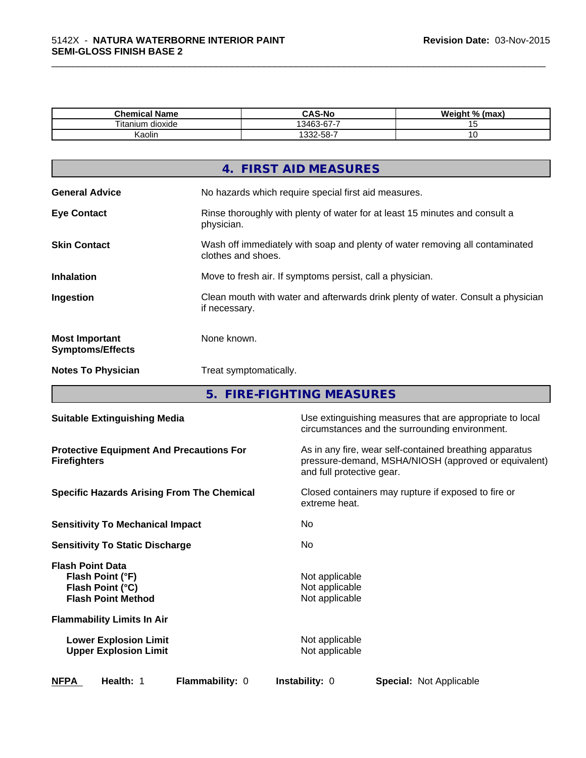| .<br>Chemical Name     | <b>CAS-No</b>                  | Weight %<br>(max<br>70 ° |
|------------------------|--------------------------------|--------------------------|
| , dioxide<br>∖ itanium | 13463.<br>$\sim$<br>-<br>. s-n |                          |
| <b>Kaolin</b>          | 1332-58-7                      | . .                      |

\_\_\_\_\_\_\_\_\_\_\_\_\_\_\_\_\_\_\_\_\_\_\_\_\_\_\_\_\_\_\_\_\_\_\_\_\_\_\_\_\_\_\_\_\_\_\_\_\_\_\_\_\_\_\_\_\_\_\_\_\_\_\_\_\_\_\_\_\_\_\_\_\_\_\_\_\_\_\_\_\_\_\_\_\_\_\_\_\_\_\_\_\_

|                                                  | 4. FIRST AID MEASURES                                                                              |
|--------------------------------------------------|----------------------------------------------------------------------------------------------------|
| <b>General Advice</b>                            | No hazards which require special first aid measures.                                               |
| <b>Eye Contact</b>                               | Rinse thoroughly with plenty of water for at least 15 minutes and consult a<br>physician.          |
| <b>Skin Contact</b>                              | Wash off immediately with soap and plenty of water removing all contaminated<br>clothes and shoes. |
| <b>Inhalation</b>                                | Move to fresh air. If symptoms persist, call a physician.                                          |
| Ingestion                                        | Clean mouth with water and afterwards drink plenty of water. Consult a physician<br>if necessary.  |
| <b>Most Important</b><br><b>Symptoms/Effects</b> | None known.                                                                                        |
| <b>Notes To Physician</b>                        | Treat symptomatically.                                                                             |
|                                                  |                                                                                                    |

**5. FIRE-FIGHTING MEASURES**

| <b>Suitable Extinguishing Media</b>                                                          | Use extinguishing measures that are appropriate to local<br>circumstances and the surrounding environment.                                   |  |
|----------------------------------------------------------------------------------------------|----------------------------------------------------------------------------------------------------------------------------------------------|--|
| <b>Protective Equipment And Precautions For</b><br><b>Firefighters</b>                       | As in any fire, wear self-contained breathing apparatus<br>pressure-demand, MSHA/NIOSH (approved or equivalent)<br>and full protective gear. |  |
| <b>Specific Hazards Arising From The Chemical</b>                                            | Closed containers may rupture if exposed to fire or<br>extreme heat.                                                                         |  |
| <b>Sensitivity To Mechanical Impact</b>                                                      | No.                                                                                                                                          |  |
| <b>Sensitivity To Static Discharge</b>                                                       | No.                                                                                                                                          |  |
| <b>Flash Point Data</b><br>Flash Point (°F)<br>Flash Point (°C)<br><b>Flash Point Method</b> | Not applicable<br>Not applicable<br>Not applicable                                                                                           |  |
| <b>Flammability Limits In Air</b>                                                            |                                                                                                                                              |  |
| <b>Lower Explosion Limit</b><br><b>Upper Explosion Limit</b>                                 | Not applicable<br>Not applicable                                                                                                             |  |
| <b>NFPA</b><br>Health: 1<br><b>Flammability: 0</b>                                           | <b>Instability: 0</b><br>Special: Not Applicable                                                                                             |  |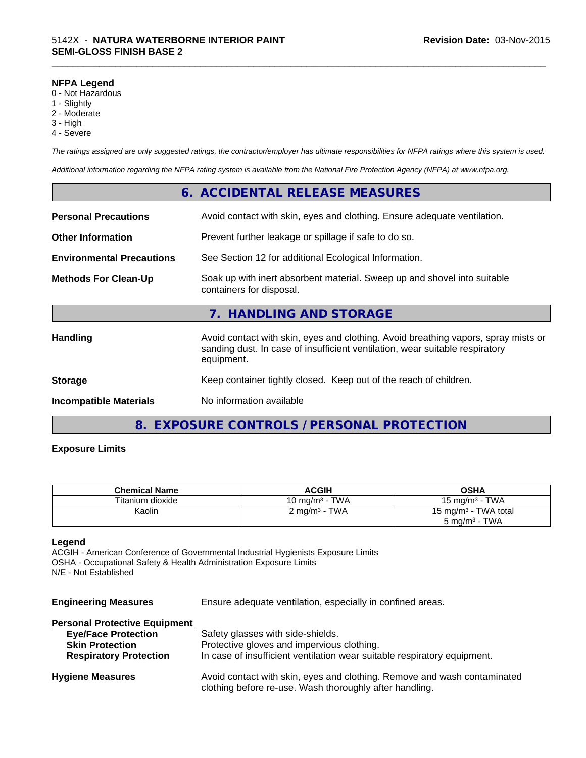#### **NFPA Legend**

- 0 Not Hazardous
- 1 Slightly
- 2 Moderate
- 3 High
- 4 Severe

*The ratings assigned are only suggested ratings, the contractor/employer has ultimate responsibilities for NFPA ratings where this system is used.*

\_\_\_\_\_\_\_\_\_\_\_\_\_\_\_\_\_\_\_\_\_\_\_\_\_\_\_\_\_\_\_\_\_\_\_\_\_\_\_\_\_\_\_\_\_\_\_\_\_\_\_\_\_\_\_\_\_\_\_\_\_\_\_\_\_\_\_\_\_\_\_\_\_\_\_\_\_\_\_\_\_\_\_\_\_\_\_\_\_\_\_\_\_

*Additional information regarding the NFPA rating system is available from the National Fire Protection Agency (NFPA) at www.nfpa.org.*

|                                  | 6. ACCIDENTAL RELEASE MEASURES                                                                                                                                                   |
|----------------------------------|----------------------------------------------------------------------------------------------------------------------------------------------------------------------------------|
| <b>Personal Precautions</b>      | Avoid contact with skin, eyes and clothing. Ensure adequate ventilation.                                                                                                         |
| <b>Other Information</b>         | Prevent further leakage or spillage if safe to do so.                                                                                                                            |
| <b>Environmental Precautions</b> | See Section 12 for additional Ecological Information.                                                                                                                            |
| <b>Methods For Clean-Up</b>      | Soak up with inert absorbent material. Sweep up and shovel into suitable<br>containers for disposal.                                                                             |
|                                  | 7. HANDLING AND STORAGE                                                                                                                                                          |
| <b>Handling</b>                  | Avoid contact with skin, eyes and clothing. Avoid breathing vapors, spray mists or<br>sanding dust. In case of insufficient ventilation, wear suitable respiratory<br>equipment. |
| <b>Storage</b>                   | Keep container tightly closed. Keep out of the reach of children.                                                                                                                |
| <b>Incompatible Materials</b>    | No information available                                                                                                                                                         |
|                                  | 8. EXPOSURE CONTROLS / PERSONAL PROTECTION                                                                                                                                       |

#### **Exposure Limits**

| <b>Chemical Name</b> | <b>ACGIH</b>                                 | OSHA                             |
|----------------------|----------------------------------------------|----------------------------------|
| Titanium dioxide     | 10 ma/m $^3$ - TWA                           | 15 mg/m $3$ - TWA                |
| Kaolin               | - TWA<br>$\angle$ mg/m <sup>3</sup> - $\sim$ | 15 mg/m <sup>3</sup> - TWA total |
|                      |                                              | $5 \text{ mg/m}^3$ - TWA         |

#### **Legend**

ACGIH - American Conference of Governmental Industrial Hygienists Exposure Limits OSHA - Occupational Safety & Health Administration Exposure Limits N/E - Not Established

**Engineering Measures** Ensure adequate ventilation, especially in confined areas.

| <b>Personal Protective Equipment</b> |                                                                                                                                     |
|--------------------------------------|-------------------------------------------------------------------------------------------------------------------------------------|
| <b>Eye/Face Protection</b>           | Safety glasses with side-shields.                                                                                                   |
| <b>Skin Protection</b>               | Protective gloves and impervious clothing.                                                                                          |
| <b>Respiratory Protection</b>        | In case of insufficient ventilation wear suitable respiratory equipment.                                                            |
| <b>Hygiene Measures</b>              | Avoid contact with skin, eyes and clothing. Remove and wash contaminated<br>clothing before re-use. Wash thoroughly after handling. |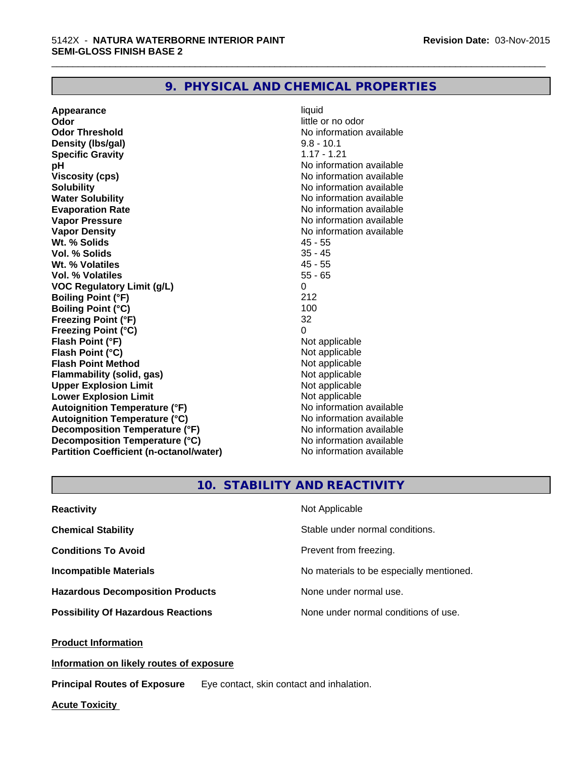# **9. PHYSICAL AND CHEMICAL PROPERTIES**

**Appearance** liquid **Odor** little or no odor **Odor Threshold No information available No information available Density (lbs/gal)** 9.8 - 10.1 **Specific Gravity** 1.17 - 1.21 **pH pH**  $\blacksquare$ **Viscosity (cps)** No information available **Solubility Note 2008 Note 2008 Note 2008 Note 2008 Note 2008 Note 2008 Note 2008 Note 2008 Note 2008 Note 2008 Note 2008 Note 2008 Note 2008 Note 2008 Note 2008 Note 2008 Note 2008 Note Water Solubility No information available No information available Evaporation Rate No information available No information available Vapor Pressure** No information available **Vapor Density Vapor Density No information available Wt. % Solids** 45 - 55 **Vol. % Solids** 35 - 45 **Wt. % Volatiles Vol. % Volatiles** 55 - 65 **VOC Regulatory Limit (g/L)** 0 **Boiling Point (°F)** 212 **Boiling Point (°C)** 100<br> **Preezing Point (°F)** 32 **Freezing Point (°F) Freezing Point (°C)** 0 **Flash Point (°F)**<br> **Flash Point (°C)**<br> **Flash Point (°C)**<br> **C Flash Point (°C)**<br> **Flash Point Method**<br> **Flash Point Method**<br> **Point Method**<br> **Point Method**<br> **Point Method Flash Point Method Flammability (solid, gas)** Not applicable<br> **Upper Explosion Limit** Not applicable<br>
Not applicable **Upper Explosion Limit Lower Explosion Limit Contract Accord Accord Accord Accord Accord Accord Accord Accord Accord Accord Accord Accord Accord Accord Accord Accord Accord Accord Accord Accord Accord Accord Accord Accord Accord Accord Accord Autoignition Temperature (°F)**<br> **Autoignition Temperature (°C)** No information available **Autoignition Temperature (°C) Decomposition Temperature (°F)** No information available **Decomposition Temperature (°C)** No information available<br> **Partition Coefficient (n-octanol/water)** No information available **Partition Coefficient (n-octanol/water)** 

\_\_\_\_\_\_\_\_\_\_\_\_\_\_\_\_\_\_\_\_\_\_\_\_\_\_\_\_\_\_\_\_\_\_\_\_\_\_\_\_\_\_\_\_\_\_\_\_\_\_\_\_\_\_\_\_\_\_\_\_\_\_\_\_\_\_\_\_\_\_\_\_\_\_\_\_\_\_\_\_\_\_\_\_\_\_\_\_\_\_\_\_\_

# **10. STABILITY AND REACTIVITY**

| <b>Reactivity</b>                         | Not Applicable                           |
|-------------------------------------------|------------------------------------------|
| <b>Chemical Stability</b>                 | Stable under normal conditions.          |
| <b>Conditions To Avoid</b>                | Prevent from freezing.                   |
| <b>Incompatible Materials</b>             | No materials to be especially mentioned. |
| <b>Hazardous Decomposition Products</b>   | None under normal use.                   |
| <b>Possibility Of Hazardous Reactions</b> | None under normal conditions of use.     |

**Product Information**

**Information on likely routes of exposure**

**Principal Routes of Exposure** Eye contact, skin contact and inhalation.

**Acute Toxicity**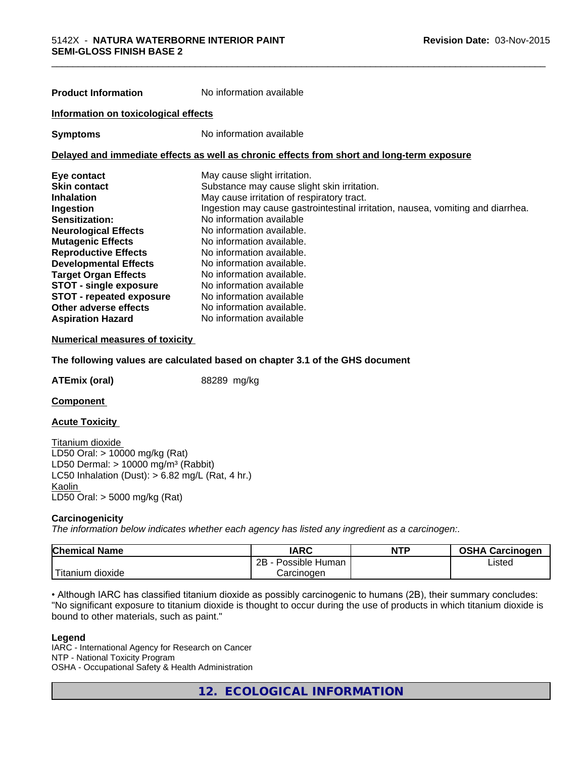| <b>Product Information</b>                                                                 | No information available                                                        |  |  |  |
|--------------------------------------------------------------------------------------------|---------------------------------------------------------------------------------|--|--|--|
| Information on toxicological effects                                                       |                                                                                 |  |  |  |
| <b>Symptoms</b>                                                                            | No information available                                                        |  |  |  |
| Delayed and immediate effects as well as chronic effects from short and long-term exposure |                                                                                 |  |  |  |
| Eye contact                                                                                | May cause slight irritation.                                                    |  |  |  |
| <b>Skin contact</b>                                                                        | Substance may cause slight skin irritation.                                     |  |  |  |
| <b>Inhalation</b>                                                                          | May cause irritation of respiratory tract.                                      |  |  |  |
| Ingestion                                                                                  | Ingestion may cause gastrointestinal irritation, nausea, vomiting and diarrhea. |  |  |  |
| Sensitization:                                                                             | No information available                                                        |  |  |  |
| <b>Neurological Effects</b>                                                                | No information available.                                                       |  |  |  |
| <b>Mutagenic Effects</b>                                                                   | No information available.                                                       |  |  |  |
| <b>Reproductive Effects</b>                                                                | No information available.                                                       |  |  |  |
| <b>Developmental Effects</b>                                                               | No information available.                                                       |  |  |  |
| <b>Target Organ Effects</b>                                                                | No information available.                                                       |  |  |  |
| <b>STOT - single exposure</b>                                                              | No information available                                                        |  |  |  |
| <b>STOT - repeated exposure</b>                                                            | No information available                                                        |  |  |  |
| Other adverse effects                                                                      | No information available.                                                       |  |  |  |
| <b>Aspiration Hazard</b>                                                                   | No information available                                                        |  |  |  |

#### **Numerical measures of toxicity**

**The following values are calculated based on chapter 3.1 of the GHS document**

**ATEmix (oral)** 88289 mg/kg

**Component** 

**Acute Toxicity** 

Titanium dioxide LD50 Oral: > 10000 mg/kg (Rat) LD50 Dermal:  $> 10000$  mg/m<sup>3</sup> (Rabbit) LC50 Inhalation (Dust):  $> 6.82$  mg/L (Rat, 4 hr.) Kaolin LD50 Oral: > 5000 mg/kg (Rat)

#### **Carcinogenicity**

*The information below indicateswhether each agency has listed any ingredient as a carcinogen:.*

| <b>Chemical Name</b>              | <b>IARC</b>              | <b>NTP</b> | <b>OSHA Carcinogen</b> |
|-----------------------------------|--------------------------|------------|------------------------|
|                                   | <br>2B<br>Possible Human |            | Listed                 |
| $- - -$<br>. dioxide<br>l itanium | Carcinogen               |            |                        |

• Although IARC has classified titanium dioxide as possibly carcinogenic to humans (2B), their summary concludes: "No significant exposure to titanium dioxide is thought to occur during the use of products in which titanium dioxide is bound to other materials, such as paint."

#### **Legend**

IARC - International Agency for Research on Cancer NTP - National Toxicity Program OSHA - Occupational Safety & Health Administration

**12. ECOLOGICAL INFORMATION**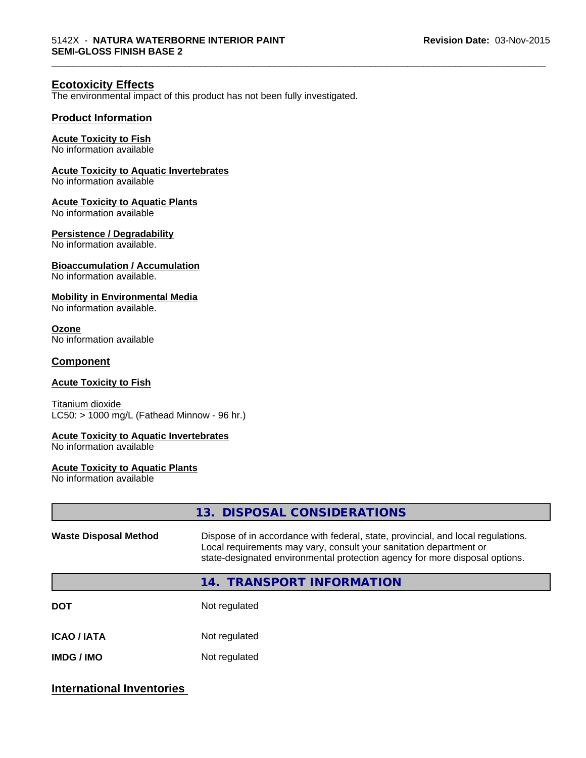\_\_\_\_\_\_\_\_\_\_\_\_\_\_\_\_\_\_\_\_\_\_\_\_\_\_\_\_\_\_\_\_\_\_\_\_\_\_\_\_\_\_\_\_\_\_\_\_\_\_\_\_\_\_\_\_\_\_\_\_\_\_\_\_\_\_\_\_\_\_\_\_\_\_\_\_\_\_\_\_\_\_\_\_\_\_\_\_\_\_\_\_\_

# **Ecotoxicity Effects**

The environmental impact of this product has not been fully investigated.

### **Product Information**

#### **Acute Toxicity to Fish**

No information available

### **Acute Toxicity to Aquatic Invertebrates**

No information available

#### **Acute Toxicity to Aquatic Plants**

No information available

#### **Persistence / Degradability**

No information available.

#### **Bioaccumulation / Accumulation**

No information available.

#### **Mobility in Environmental Media**

No information available.

#### **Ozone**

No information available

#### **Component**

# **Acute Toxicity to Fish**

Titanium dioxide  $LC50:$  > 1000 mg/L (Fathead Minnow - 96 hr.)

#### **Acute Toxicity to Aquatic Invertebrates**

No information available

#### **Acute Toxicity to Aquatic Plants**

No information available

|                              | 13. DISPOSAL CONSIDERATIONS                                                                                                                                                                                                           |  |
|------------------------------|---------------------------------------------------------------------------------------------------------------------------------------------------------------------------------------------------------------------------------------|--|
| <b>Waste Disposal Method</b> | Dispose of in accordance with federal, state, provincial, and local regulations.<br>Local requirements may vary, consult your sanitation department or<br>state-designated environmental protection agency for more disposal options. |  |
|                              | 14. TRANSPORT INFORMATION                                                                                                                                                                                                             |  |
| <b>DOT</b>                   | Not regulated                                                                                                                                                                                                                         |  |
| <b>ICAO/IATA</b>             | Not regulated                                                                                                                                                                                                                         |  |
| <b>IMDG/IMO</b>              | Not regulated                                                                                                                                                                                                                         |  |
|                              |                                                                                                                                                                                                                                       |  |

# **International Inventories**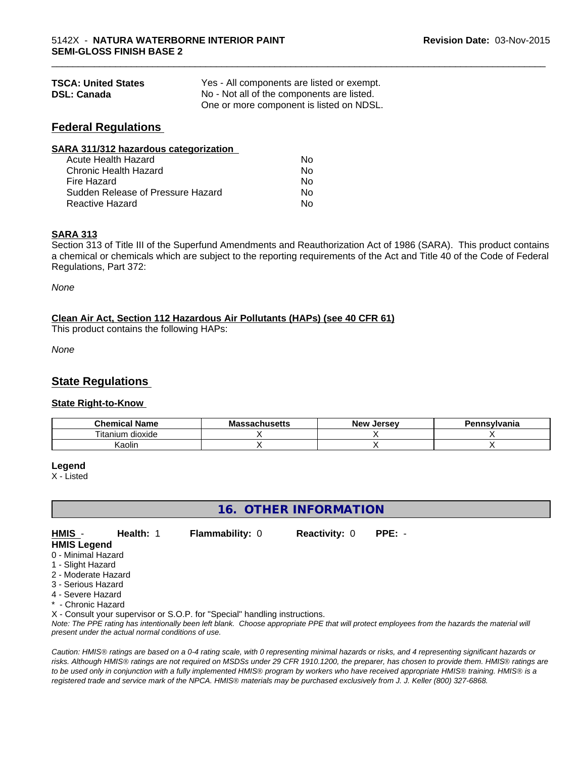| <b>TSCA: United States</b> | Yes - All components are listed or exempt. |  |
|----------------------------|--------------------------------------------|--|
| <b>DSL: Canada</b>         | No - Not all of the components are listed. |  |
|                            | One or more component is listed on NDSL.   |  |

# **Federal Regulations**

| SARA 311/312 hazardous categorization |    |  |
|---------------------------------------|----|--|
| Acute Health Hazard                   | Nο |  |
| <b>Chronic Health Hazard</b>          | No |  |
| Fire Hazard                           | Nο |  |
| Sudden Release of Pressure Hazard     | Nο |  |
| Reactive Hazard                       | No |  |

# **SARA 313**

Section 313 of Title III of the Superfund Amendments and Reauthorization Act of 1986 (SARA). This product contains a chemical or chemicals which are subject to the reporting requirements of the Act and Title 40 of the Code of Federal Regulations, Part 372:

\_\_\_\_\_\_\_\_\_\_\_\_\_\_\_\_\_\_\_\_\_\_\_\_\_\_\_\_\_\_\_\_\_\_\_\_\_\_\_\_\_\_\_\_\_\_\_\_\_\_\_\_\_\_\_\_\_\_\_\_\_\_\_\_\_\_\_\_\_\_\_\_\_\_\_\_\_\_\_\_\_\_\_\_\_\_\_\_\_\_\_\_\_

*None*

# **Clean Air Act,Section 112 Hazardous Air Pollutants (HAPs) (see 40 CFR 61)**

This product contains the following HAPs:

*None*

# **State Regulations**

# **State Right-to-Know**

| Chemical<br>.<br><b>Name</b> | . .<br>המח<br>ohueotte<br>wю<br>aunus <del>c</del> us | Jersev<br>Nev <sup>.</sup> | Pennsylvania |
|------------------------------|-------------------------------------------------------|----------------------------|--------------|
| l itanium<br>dioxide         |                                                       |                            |              |
| Kaolir                       |                                                       |                            |              |

#### **Legend**

X - Listed

# **16. OTHER INFORMATION**

**HMIS** - **Health:** 1 **Flammability:** 0 **Reactivity:** 0 **PPE:** - **HMIS Legend**

- 0 Minimal Hazard
- 1 Slight Hazard
- 2 Moderate Hazard
- 3 Serious Hazard
- 4 Severe Hazard
- \* Chronic Hazard

X - Consult your supervisor or S.O.P. for "Special" handling instructions.

*Note: The PPE rating has intentionally been left blank. Choose appropriate PPE that will protect employees from the hazards the material will present under the actual normal conditions of use.*

*Caution: HMISÒ ratings are based on a 0-4 rating scale, with 0 representing minimal hazards or risks, and 4 representing significant hazards or risks. Although HMISÒ ratings are not required on MSDSs under 29 CFR 1910.1200, the preparer, has chosen to provide them. HMISÒ ratings are to be used only in conjunction with a fully implemented HMISÒ program by workers who have received appropriate HMISÒ training. HMISÒ is a registered trade and service mark of the NPCA. HMISÒ materials may be purchased exclusively from J. J. Keller (800) 327-6868.*